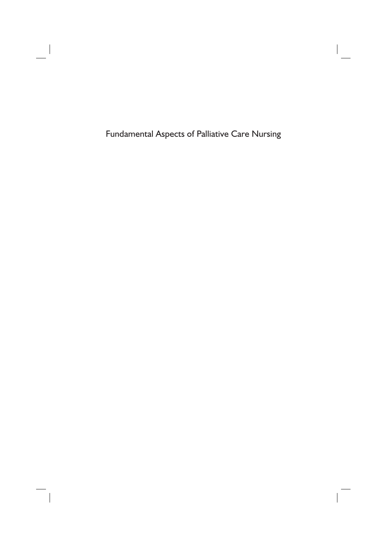Fundamental Aspects of Palliative Care Nursing

 $\overline{\phantom{a}}$ 

 $\overline{\phantom{a}}$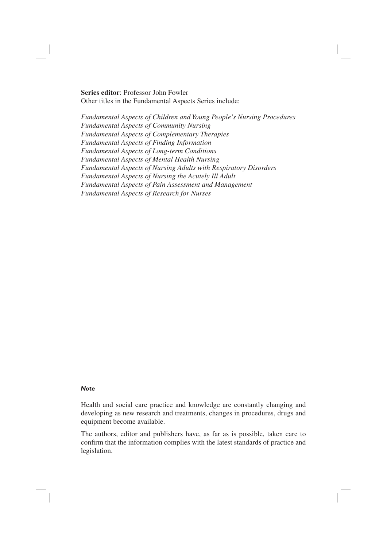**Series editor**: Professor John Fowler Other titles in the Fundamental Aspects Series include:

*Fundamental Aspects of Children and Young People's Nursing Procedures Fundamental Aspects of Community Nursing Fundamental Aspects of Complementary Therapies Fundamental Aspects of Finding Information Fundamental Aspects of Long-term Conditions Fundamental Aspects of Mental Health Nursing Fundamental Aspects of Nursing Adults with Respiratory Disorders Fundamental Aspects of Nursing the Acutely Ill Adult Fundamental Aspects of Pain Assessment and Management Fundamental Aspects of Research for Nurses*

#### *Note*

Health and social care practice and knowledge are constantly changing and developing as new research and treatments, changes in procedures, drugs and equipment become available.

The authors, editor and publishers have, as far as is possible, taken care to confirm that the information complies with the latest standards of practice and legislation.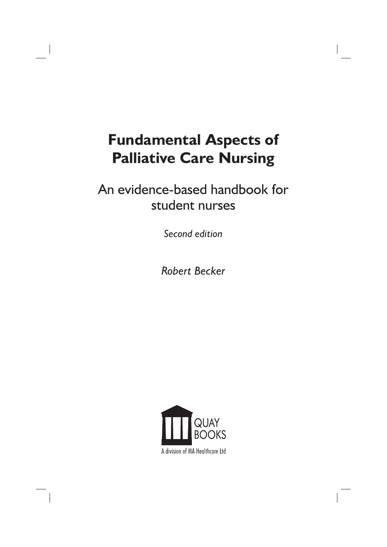## **Fundamental Aspects of Palliative Care Nursing**

## An evidence-based handbook for student nurses

*Second edition*

*Robert Becker*

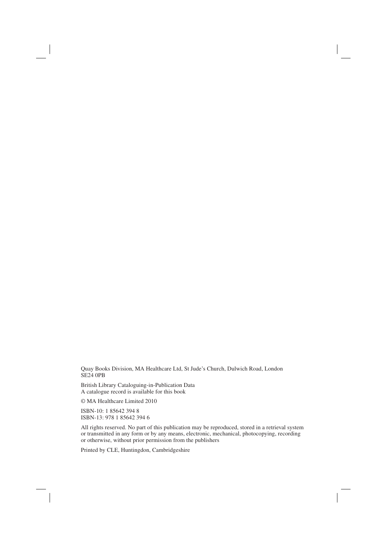Quay Books Division, MA Healthcare Ltd, St Jude's Church, Dulwich Road, London SE24 0PB

British Library Cataloguing-in-Publication Data A catalogue record is available for this book

© MA Healthcare Limited 2010

ISBN-10: 1 85642 394 8 ISBN-13: 978 1 85642 394 6

All rights reserved. No part of this publication may be reproduced, stored in a retrieval system or transmitted in any form or by any means, electronic, mechanical, photocopying, recording or otherwise, without prior permission from the publishers

Printed by CLE, Huntingdon, Cambridgeshire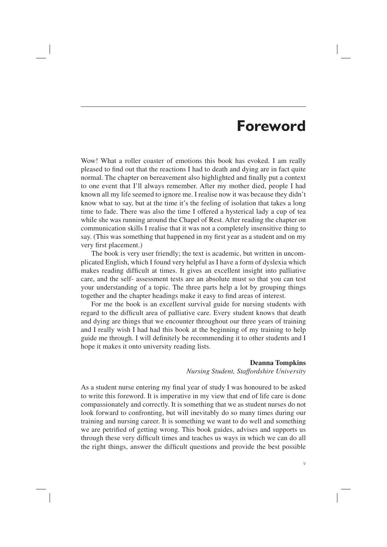### **Foreword**

Wow! What a roller coaster of emotions this book has evoked. I am really pleased to find out that the reactions I had to death and dying are in fact quite normal. The chapter on bereavement also highlighted and finally put a context to one event that I'll always remember. After my mother died, people I had known all my life seemed to ignore me. I realise now it was because they didn't know what to say, but at the time it's the feeling of isolation that takes a long time to fade. There was also the time I offered a hysterical lady a cup of tea while she was running around the Chapel of Rest. After reading the chapter on communication skills I realise that it was not a completely insensitive thing to say. (This was something that happened in my first year as a student and on my very first placement.)

The book is very user friendly; the text is academic, but written in uncomplicated English, which I found very helpful as I have a form of dyslexia which makes reading difficult at times. It gives an excellent insight into palliative care, and the self- assessment tests are an absolute must so that you can test your understanding of a topic. The three parts help a lot by grouping things together and the chapter headings make it easy to find areas of interest.

For me the book is an excellent survival guide for nursing students with regard to the difficult area of palliative care. Every student knows that death and dying are things that we encounter throughout our three years of training and I really wish I had had this book at the beginning of my training to help guide me through. I will definitely be recommending it to other students and I hope it makes it onto university reading lists.

#### **Deanna Tompkins**

*Nursing Student, Staffordshire University*

As a student nurse entering my final year of study I was honoured to be asked to write this foreword. It is imperative in my view that end of life care is done compassionately and correctly. It is something that we as student nurses do not look forward to confronting, but will inevitably do so many times during our training and nursing career. It is something we want to do well and something we are petrified of getting wrong. This book guides, advises and supports us through these very difficult times and teaches us ways in which we can do all the right things, answer the difficult questions and provide the best possible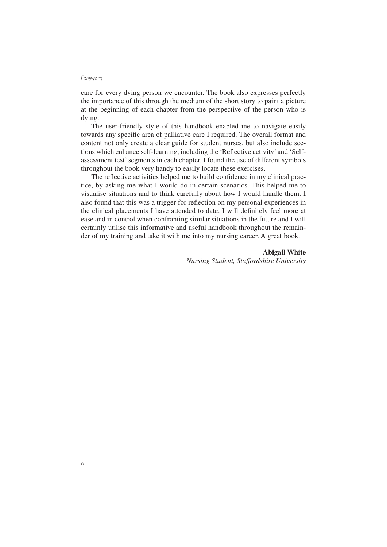#### *Foreword*

care for every dying person we encounter. The book also expresses perfectly the importance of this through the medium of the short story to paint a picture at the beginning of each chapter from the perspective of the person who is dying.

The user-friendly style of this handbook enabled me to navigate easily towards any specific area of palliative care I required. The overall format and content not only create a clear guide for student nurses, but also include sections which enhance self-learning, including the 'Reflective activity' and 'Selfassessment test' segments in each chapter. I found the use of different symbols throughout the book very handy to easily locate these exercises.

The reflective activities helped me to build confidence in my clinical practice, by asking me what I would do in certain scenarios. This helped me to visualise situations and to think carefully about how I would handle them. I also found that this was a trigger for reflection on my personal experiences in the clinical placements I have attended to date. I will definitely feel more at ease and in control when confronting similar situations in the future and I will certainly utilise this informative and useful handbook throughout the remainder of my training and take it with me into my nursing career. A great book.

#### **Abigail White**

*Nursing Student, Staffordshire University*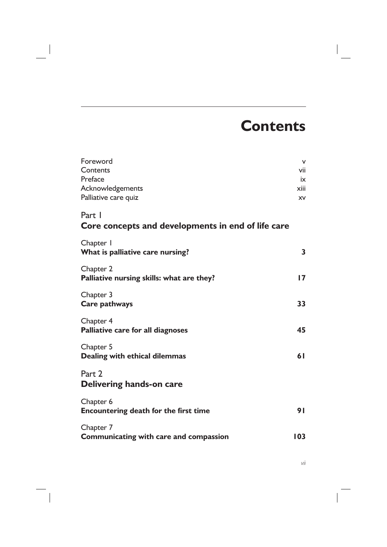## **Contents**

 $\| \cdot \|$ 

| Foreword                                                   | $\checkmark$    |
|------------------------------------------------------------|-----------------|
| Contents                                                   | vii             |
| Preface                                                    | ix              |
| Acknowledgements                                           | xiii            |
| Palliative care quiz                                       | XV              |
| Part I                                                     |                 |
| Core concepts and developments in end of life care         |                 |
| Chapter I<br>What is palliative care nursing?              | 3               |
| Chapter 2<br>Palliative nursing skills: what are they?     | $\overline{17}$ |
| Chapter 3<br>Care pathways                                 | 33              |
| Chapter 4<br><b>Palliative care for all diagnoses</b>      | 45              |
| Chapter 5<br>Dealing with ethical dilemmas                 | 61              |
| Part 2<br><b>Delivering hands-on care</b>                  |                 |
| Chapter 6<br><b>Encountering death for the first time</b>  | 91              |
| Chapter 7<br><b>Communicating with care and compassion</b> | 103             |

 $\equiv$ 

 $\overline{\phantom{a}}$ 

*vii*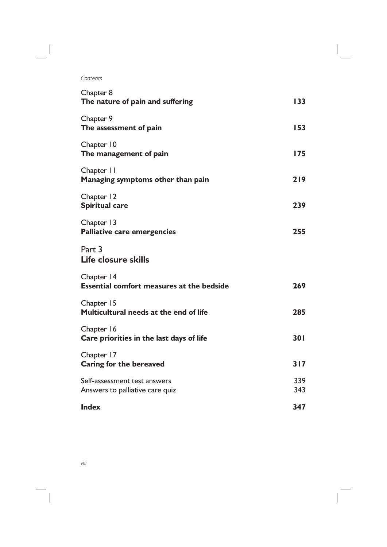#### *Contents*

 $\begin{array}{c} \hline \end{array}$ 

| Chapter 8<br>The nature of pain and suffering                   | 133        |
|-----------------------------------------------------------------|------------|
| Chapter 9<br>The assessment of pain                             | 153        |
| Chapter 10<br>The management of pain                            | 175        |
| Chapter    <br>Managing symptoms other than pain                | 219        |
| Chapter 12<br><b>Spiritual care</b>                             | 239        |
| Chapter 13<br><b>Palliative care emergencies</b>                | 255        |
| Part <sub>3</sub><br>Life closure skills                        |            |
| Chapter 14<br><b>Essential comfort measures at the bedside</b>  | 269        |
| Chapter 15<br>Multicultural needs at the end of life            | 285        |
| Chapter 16<br>Care priorities in the last days of life          | 301        |
| Chapter 17<br><b>Caring for the bereaved</b>                    | 317        |
| Self-assessment test answers<br>Answers to palliative care quiz | 339<br>343 |
| <b>Index</b>                                                    | 347        |

*viii*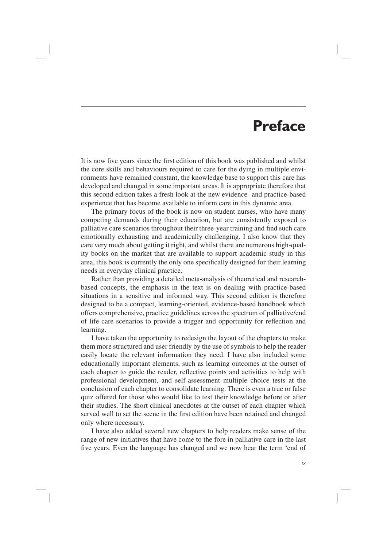## **Preface**

It is now five years since the first edition of this book was published and whilst the core skills and behaviours required to care for the dying in multiple environments have remained constant, the knowledge base to support this care has developed and changed in some important areas. It is appropriate therefore that this second edition takes a fresh look at the new evidence- and practice-based experience that has become available to inform care in this dynamic area.

The primary focus of the book is now on student nurses, who have many competing demands during their education, but are consistently exposed to palliative care scenarios throughout their three-year training and find such care emotionally exhausting and academically challenging. I also know that they care very much about getting it right, and whilst there are numerous high-quality books on the market that are available to support academic study in this area, this book is currently the only one specifically designed for their learning needs in everyday clinical practice.

Rather than providing a detailed meta-analysis of theoretical and researchbased concepts, the emphasis in the text is on dealing with practice-based situations in a sensitive and informed way. This second edition is therefore designed to be a compact, learning-oriented, evidence-based handbook which offers comprehensive, practice guidelines across the spectrum of palliative/end of life care scenarios to provide a trigger and opportunity for reflection and learning.

I have taken the opportunity to redesign the layout of the chapters to make them more structured and user friendly by the use of symbols to help the reader easily locate the relevant information they need. I have also included some educationally important elements, such as learning outcomes at the outset of each chapter to guide the reader, reflective points and activities to help with professional development, and self-assessment multiple choice tests at the conclusion of each chapter to consolidate learning. There is even a true or false quiz offered for those who would like to test their knowledge before or after their studies. The short clinical anecdotes at the outset of each chapter which served well to set the scene in the first edition have been retained and changed only where necessary.

I have also added several new chapters to help readers make sense of the range of new initiatives that have come to the fore in palliative care in the last five years. Even the language has changed and we now hear the term 'end of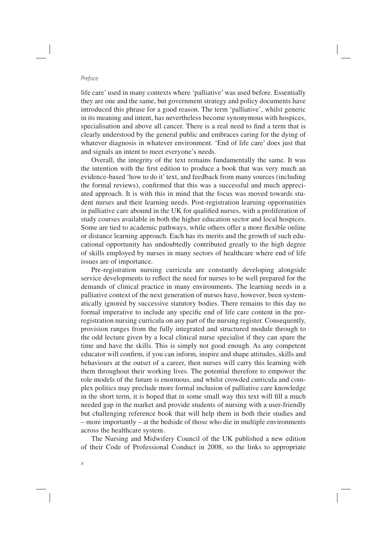#### *Preface*

life care' used in many contexts where 'palliative' was used before. Essentially they are one and the same, but government strategy and policy documents have introduced this phrase for a good reason. The term 'palliative', whilst generic in its meaning and intent, has nevertheless become synonymous with hospices, specialisation and above all cancer. There is a real need to find a term that is clearly understood by the general public and embraces caring for the dying of whatever diagnosis in whatever environment. 'End of life care' does just that and signals an intent to meet everyone's needs.

Overall, the integrity of the text remains fundamentally the same. It was the intention with the first edition to produce a book that was very much an evidence-based 'how to do it' text, and feedback from many sources (including the formal reviews), confirmed that this was a successful and much appreciated approach. It is with this in mind that the focus was moved towards student nurses and their learning needs. Post-registration learning opportunities in palliative care abound in the UK for qualified nurses, with a proliferation of study courses available in both the higher education sector and local hospices. Some are tied to academic pathways, while others offer a more flexible online or distance learning approach. Each has its merits and the growth of such educational opportunity has undoubtedly contributed greatly to the high degree of skills employed by nurses in many sectors of healthcare where end of life issues are of importance.

Pre-registration nursing curricula are constantly developing alongside service developments to reflect the need for nurses to be well prepared for the demands of clinical practice in many environments. The learning needs in a palliative context of the next generation of nurses have, however, been systematically ignored by successive statutory bodies. There remains to this day no formal imperative to include any specific end of life care content in the preregistration nursing curricula on any part of the nursing register. Consequently, provision ranges from the fully integrated and structured module through to the odd lecture given by a local clinical nurse specialist if they can spare the time and have the skills. This is simply not good enough. As any competent educator will confirm, if you can inform, inspire and shape attitudes, skills and behaviours at the outset of a career, then nurses will carry this learning with them throughout their working lives. The potential therefore to empower the role models of the future is enormous, and whilst crowded curricula and complex politics may preclude more formal inclusion of palliative care knowledge in the short term, it is hoped that in some small way this text will fill a much needed gap in the market and provide students of nursing with a user-friendly but challenging reference book that will help them in both their studies and – more importantly – at the bedside of those who die in multiple environments across the healthcare system.

The Nursing and Midwifery Council of the UK published a new edition of their Code of Professional Conduct in 2008, so the links to appropriate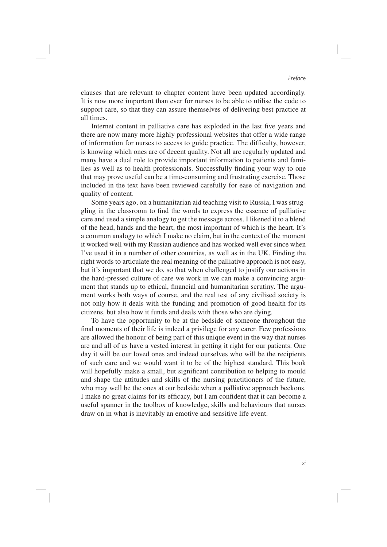#### *Preface*

clauses that are relevant to chapter content have been updated accordingly. It is now more important than ever for nurses to be able to utilise the code to support care, so that they can assure themselves of delivering best practice at all times.

Internet content in palliative care has exploded in the last five years and there are now many more highly professional websites that offer a wide range of information for nurses to access to guide practice. The difficulty, however, is knowing which ones are of decent quality. Not all are regularly updated and many have a dual role to provide important information to patients and families as well as to health professionals. Successfully finding your way to one that may prove useful can be a time-consuming and frustrating exercise. Those included in the text have been reviewed carefully for ease of navigation and quality of content.

Some years ago, on a humanitarian aid teaching visit to Russia, I was struggling in the classroom to find the words to express the essence of palliative care and used a simple analogy to get the message across. I likened it to a blend of the head, hands and the heart, the most important of which is the heart. It's a common analogy to which I make no claim, but in the context of the moment it worked well with my Russian audience and has worked well ever since when I've used it in a number of other countries, as well as in the UK. Finding the right words to articulate the real meaning of the palliative approach is not easy, but it's important that we do, so that when challenged to justify our actions in the hard-pressed culture of care we work in we can make a convincing argument that stands up to ethical, financial and humanitarian scrutiny. The argument works both ways of course, and the real test of any civilised society is not only how it deals with the funding and promotion of good health for its citizens, but also how it funds and deals with those who are dying.

To have the opportunity to be at the bedside of someone throughout the final moments of their life is indeed a privilege for any carer. Few professions are allowed the honour of being part of this unique event in the way that nurses are and all of us have a vested interest in getting it right for our patients. One day it will be our loved ones and indeed ourselves who will be the recipients of such care and we would want it to be of the highest standard. This book will hopefully make a small, but significant contribution to helping to mould and shape the attitudes and skills of the nursing practitioners of the future, who may well be the ones at our bedside when a palliative approach beckons. I make no great claims for its efficacy, but I am confident that it can become a useful spanner in the toolbox of knowledge, skills and behaviours that nurses draw on in what is inevitably an emotive and sensitive life event.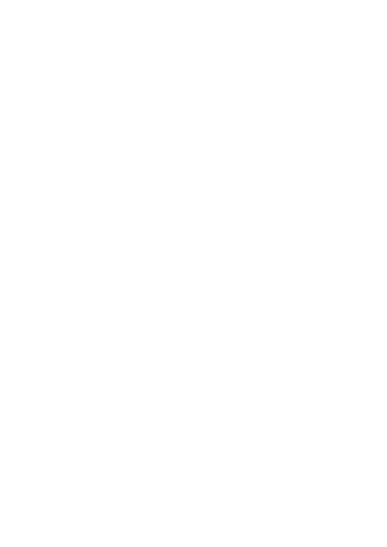$\mathbb{R}^{\mathbb{N}}$  $\begin{array}{c} \begin{array}{c} \begin{array}{c} \end{array} \\ \begin{array}{c} \end{array} \end{array} \end{array}$ 

 $\mathcal{L}_{\parallel}$  $\overline{\mathbb{R}^+}$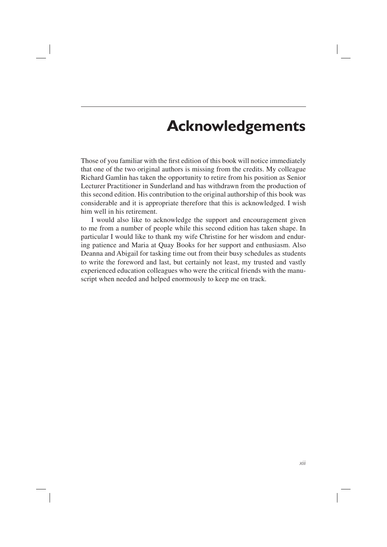## **Acknowledgements**

Those of you familiar with the first edition of this book will notice immediately that one of the two original authors is missing from the credits. My colleague Richard Gamlin has taken the opportunity to retire from his position as Senior Lecturer Practitioner in Sunderland and has withdrawn from the production of this second edition. His contribution to the original authorship of this book was considerable and it is appropriate therefore that this is acknowledged. I wish him well in his retirement.

I would also like to acknowledge the support and encouragement given to me from a number of people while this second edition has taken shape. In particular I would like to thank my wife Christine for her wisdom and enduring patience and Maria at Quay Books for her support and enthusiasm. Also Deanna and Abigail for tasking time out from their busy schedules as students to write the foreword and last, but certainly not least, my trusted and vastly experienced education colleagues who were the critical friends with the manuscript when needed and helped enormously to keep me on track.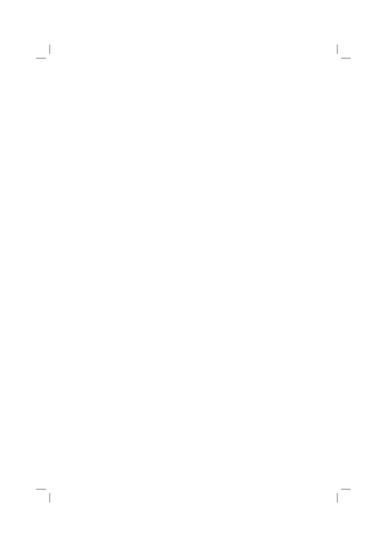$\mathbb{R}^{\mathbb{N}}$  $\begin{array}{c} \begin{array}{c} \begin{array}{c} \end{array} \\ \begin{array}{c} \end{array} \end{array} \end{array}$ 

 $\mathcal{L}_{\parallel}$  $\overline{\mathbb{R}^+}$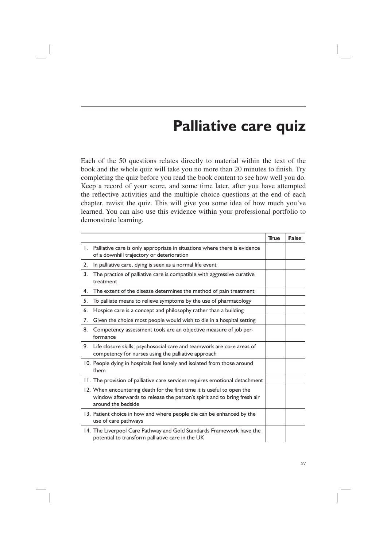## **Palliative care quiz**

 Each of the 50 questions relates directly to material within the text of the book and the whole quiz will take you no more than 20 minutes to finish. Try completing the quiz before you read the book content to see how well you do. Keep a record of your score, and some time later, after you have attempted the reflective activities and the multiple choice questions at the end of each chapter, revisit the quiz. This will give you some idea of how much you've learned. You can also use this evidence within your professional portfolio to demonstrate learning.

|    |                                                                                                                                                                          | <b>True</b> | <b>False</b> |
|----|--------------------------------------------------------------------------------------------------------------------------------------------------------------------------|-------------|--------------|
|    | 1. Palliative care is only appropriate in situations where there is evidence<br>of a downhill trajectory or deterioration                                                |             |              |
| 2. | In palliative care, dying is seen as a normal life event                                                                                                                 |             |              |
| 3. | The practice of palliative care is compatible with aggressive curative<br>treatment                                                                                      |             |              |
| 4. | The extent of the disease determines the method of pain treatment                                                                                                        |             |              |
| 5. | To palliate means to relieve symptoms by the use of pharmacology                                                                                                         |             |              |
| 6. | Hospice care is a concept and philosophy rather than a building                                                                                                          |             |              |
| 7. | Given the choice most people would wish to die in a hospital setting                                                                                                     |             |              |
| 8. | Competency assessment tools are an objective measure of job per-<br>formance                                                                                             |             |              |
| 9. | Life closure skills, psychosocial care and teamwork are core areas of<br>competency for nurses using the palliative approach                                             |             |              |
|    | 10. People dying in hospitals feel lonely and isolated from those around<br>them                                                                                         |             |              |
|    | 11. The provision of palliative care services requires emotional detachment                                                                                              |             |              |
|    | 12. When encountering death for the first time it is useful to open the<br>window afterwards to release the person's spirit and to bring fresh air<br>around the bedside |             |              |
|    | 13. Patient choice in how and where people die can be enhanced by the<br>use of care pathways                                                                            |             |              |
|    | 14. The Liverpool Care Pathway and Gold Standards Framework have the<br>potential to transform palliative care in the UK                                                 |             |              |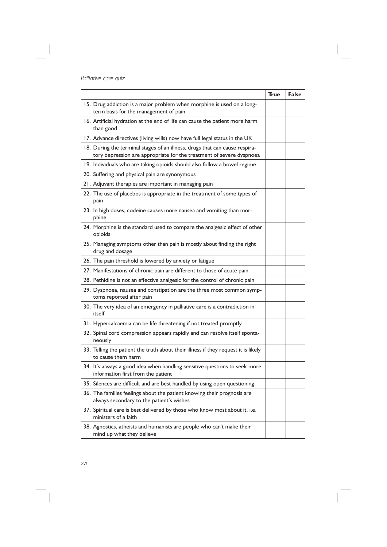### *Palliative care quiz*

|                                                                                                                                                     | <b>True</b> | <b>False</b> |
|-----------------------------------------------------------------------------------------------------------------------------------------------------|-------------|--------------|
| 15. Drug addiction is a major problem when morphine is used on a long-<br>term basis for the management of pain                                     |             |              |
| 16. Artificial hydration at the end of life can cause the patient more harm<br>than good                                                            |             |              |
| 17. Advance directives (living wills) now have full legal status in the UK                                                                          |             |              |
| 18. During the terminal stages of an illness, drugs that can cause respira-<br>tory depression are appropriate for the treatment of severe dyspnoea |             |              |
| 19. Individuals who are taking opioids should also follow a bowel regime                                                                            |             |              |
| 20. Suffering and physical pain are synonymous                                                                                                      |             |              |
| 21. Adjuvant therapies are important in managing pain                                                                                               |             |              |
| 22. The use of placebos is appropriate in the treatment of some types of<br>pain                                                                    |             |              |
| 23. In high doses, codeine causes more nausea and vomiting than mor-<br>phine                                                                       |             |              |
| 24. Morphine is the standard used to compare the analgesic effect of other<br>opioids                                                               |             |              |
| 25. Managing symptoms other than pain is mostly about finding the right<br>drug and dosage                                                          |             |              |
| 26. The pain threshold is lowered by anxiety or fatigue                                                                                             |             |              |
| 27. Manifestations of chronic pain are different to those of acute pain                                                                             |             |              |
| 28. Pethidine is not an effective analgesic for the control of chronic pain                                                                         |             |              |
| 29. Dyspnoea, nausea and constipation are the three most common symp-<br>toms reported after pain                                                   |             |              |
| 30. The very idea of an emergency in palliative care is a contradiction in<br>itself                                                                |             |              |
| 31. Hypercalcaemia can be life threatening if not treated promptly                                                                                  |             |              |
| 32. Spinal cord compression appears rapidly and can resolve itself sponta-<br>neously                                                               |             |              |
| 33. Telling the patient the truth about their illness if they request it is likely<br>to cause them harm                                            |             |              |
| 34. It's always a good idea when handling sensitive questions to seek more<br>information first from the patient                                    |             |              |
| 35. Silences are difficult and are best handled by using open questioning                                                                           |             |              |
| 36. The families feelings about the patient knowing their prognosis are<br>always secondary to the patient's wishes                                 |             |              |
| 37. Spiritual care is best delivered by those who know most about it, i.e.<br>ministers of a faith                                                  |             |              |
| 38. Agnostics, atheists and humanists are people who can't make their<br>mind up what they believe                                                  |             |              |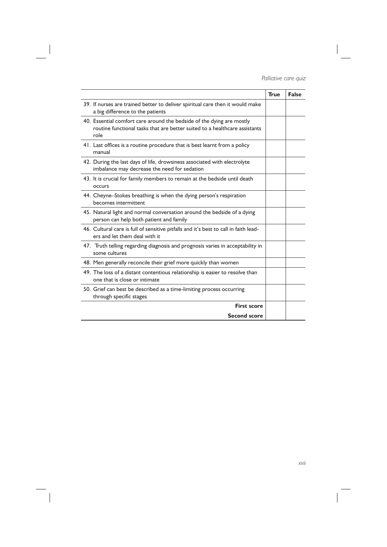*Palliative care quiz*

 $\overline{\phantom{a}}$ 

|                                                                                                                                                             | <b>True</b> | <b>False</b> |
|-------------------------------------------------------------------------------------------------------------------------------------------------------------|-------------|--------------|
| 39. If nurses are trained better to deliver spiritual care then it would make<br>a big difference to the patients                                           |             |              |
| 40. Essential comfort care around the bedside of the dying are mostly<br>routine functional tasks that are better suited to a healthcare assistants<br>role |             |              |
| 41. Last offices is a routine procedure that is best learnt from a policy<br>manual                                                                         |             |              |
| 42. During the last days of life, drowsiness associated with electrolyte<br>imbalance may decrease the need for sedation                                    |             |              |
| 43. It is crucial for family members to remain at the bedside until death<br>occurs                                                                         |             |              |
| 44. Cheyne–Stokes breathing is when the dying person's respiration<br>becomes intermittent                                                                  |             |              |
| 45. Natural light and normal conversation around the bedside of a dying<br>person can help both patient and family                                          |             |              |
| 46. Cultural care is full of sensitive pitfalls and it's best to call in faith lead-<br>ers and let them deal with it                                       |             |              |
| 47. Truth telling regarding diagnosis and prognosis varies in acceptability in<br>some cultures                                                             |             |              |
| 48. Men generally reconcile their grief more quickly than women                                                                                             |             |              |
| 49. The loss of a distant contentious relationship is easier to resolve than<br>one that is close or intimate                                               |             |              |
| 50. Grief can best be described as a time-limiting process occurring<br>through specific stages                                                             |             |              |
| <b>First score</b>                                                                                                                                          |             |              |
| <b>Second score</b>                                                                                                                                         |             |              |

*xvii*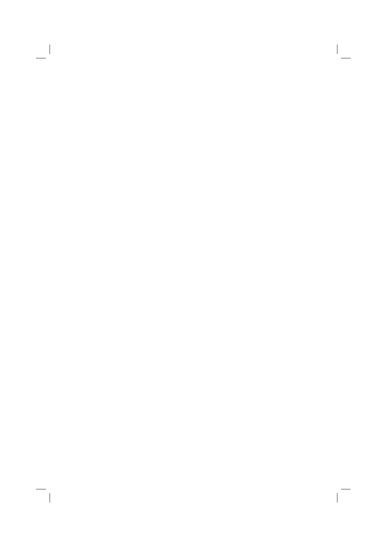$\mathbb{R}^{\mathbb{N}}$  $\begin{array}{c} \begin{array}{c} \begin{array}{c} \end{array} \\ \begin{array}{c} \end{array} \end{array} \end{array}$ 

 $\mathcal{L}_{\parallel}$  $\overline{\mathbb{R}^+}$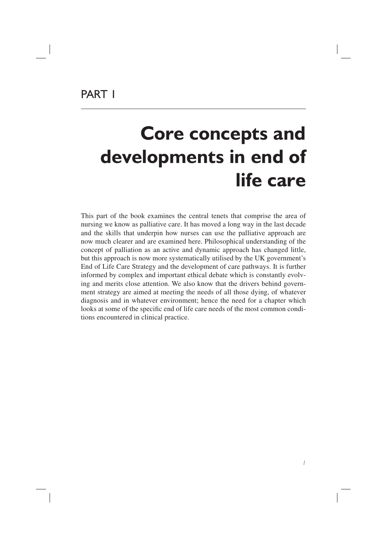### PART I

# **Core concepts and developments in end of life care**

This part of the book examines the central tenets that comprise the area of nursing we know as palliative care. It has moved a long way in the last decade and the skills that underpin how nurses can use the palliative approach are now much clearer and are examined here. Philosophical understanding of the concept of palliation as an active and dynamic approach has changed little, but this approach is now more systematically utilised by the UK government's End of Life Care Strategy and the development of care pathways. It is further informed by complex and important ethical debate which is constantly evolving and merits close attention. We also know that the drivers behind government strategy are aimed at meeting the needs of all those dying, of whatever diagnosis and in whatever environment; hence the need for a chapter which looks at some of the specific end of life care needs of the most common conditions encountered in clinical practice.

*1*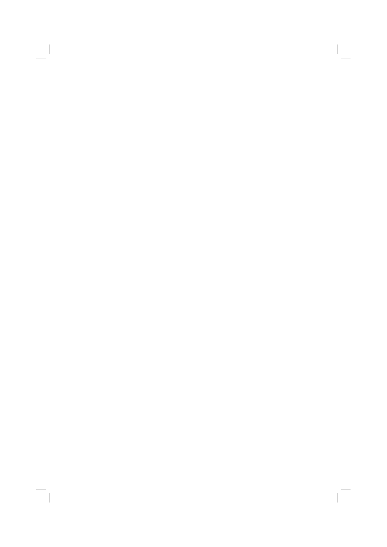$\mathbb{R}^{\mathbb{N}}$  $\begin{array}{c} \begin{array}{c} \begin{array}{c} \end{array} \\ \begin{array}{c} \end{array} \end{array} \end{array}$ 

 $\mathcal{L}_{\parallel}$  $\overline{\mathbb{R}^+}$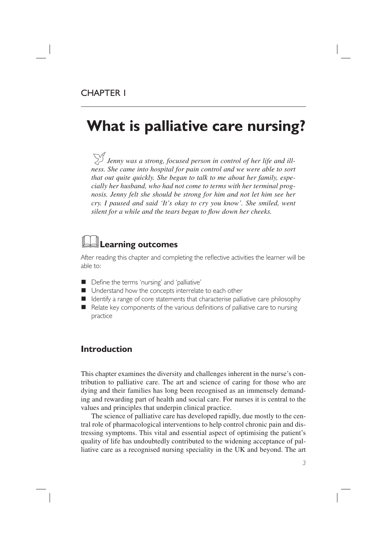## **What is palliative care nursing?**

*Jenny was a strong, focused person in control of her life and illness. She came into hospital for pain control and we were able to sort that out quite quickly. She began to talk to me about her family, especially her husband, who had not come to terms with her terminal prognosis. Jenny felt she should be strong for him and not let him see her cry. I paused and said 'It's okay to cry you know'. She smiled, went silent for a while and the tears began to flow down her cheeks.* 

## **Learning outcomes**

After reading this chapter and completing the reflective activities the learner will be able to:

- Define the terms 'nursing' and 'palliative'
- **I** Understand how the concepts interrelate to each other
- I Identify a range of core statements that characterise palliative care philosophy
- Relate key components of the various definitions of palliative care to nursing practice

### **Introduction**

 This chapter examines the diversity and challenges inherent in the nurse's contribution to palliative care. The art and science of caring for those who are dying and their families has long been recognised as an immensely demanding and rewarding part of health and social care. For nurses it is central to the values and principles that underpin clinical practice.

The science of palliative care has developed rapidly, due mostly to the central role of pharmacological interventions to help control chronic pain and distressing symptoms. This vital and essential aspect of optimising the patient's quality of life has undoubtedly contributed to the widening acceptance of palliative care as a recognised nursing speciality in the UK and beyond. The art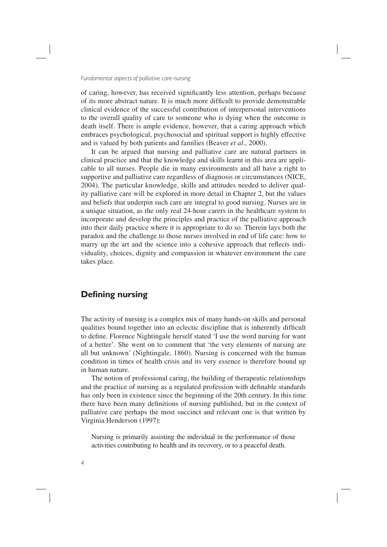#### *Fundamental aspects of palliative care nursing*

of caring, however, has received significantly less attention, perhaps because of its more abstract nature. It is much more difficult to provide demonstrable clinical evidence of the successful contribution of interpersonal interventions to the overall quality of care to someone who is dying when the outcome is death itself. There is ample evidence, however, that a caring approach which embraces psychological, psychosocial and spiritual support is highly effective and is valued by both patients and families (Beaver *et al*., 2000).

It can be argued that nursing and palliative care are natural partners in clinical practice and that the knowledge and skills learnt in this area are applicable to all nurses. People die in many environments and all have a right to supportive and palliative care regardless of diagnosis or circumstances (NICE, 2004). The particular knowledge, skills and attitudes needed to deliver quality palliative care will be explored in more detail in Chapter 2, but the values and beliefs that underpin such care are integral to good nursing. Nurses are in a unique situation, as the only real 24-hour carers in the healthcare system to incorporate and develop the principles and practice of the palliative approach into their daily practice where it is appropriate to do so. Therein lays both the paradox and the challenge to those nurses involved in end of life care: how to marry up the art and the science into a cohesive approach that reflects individuality, choices, dignity and compassion in whatever environment the care takes place.

### **Defining nursing**

The activity of nursing is a complex mix of many hands-on skills and personal qualities bound together into an eclectic discipline that is inherently difficult to define. Florence Nightingale herself stated 'I use the word nursing for want of a better'. She went on to comment that 'the very elements of nursing are all but unknown' (Nightingale, 1860). Nursing is concerned with the human condition in times of health crisis and its very essence is therefore bound up in human nature.

The notion of professional caring, the building of therapeutic relationships and the practice of nursing as a regulated profession with definable standards has only been in existence since the beginning of the 20th century. In this time there have been many definitions of nursing published, but in the context of palliative care perhaps the most succinct and relevant one is that written by Virginia Henderson (1997):

Nursing is primarily assisting the individual in the performance of those activities contributing to health and its recovery, or to a peaceful death.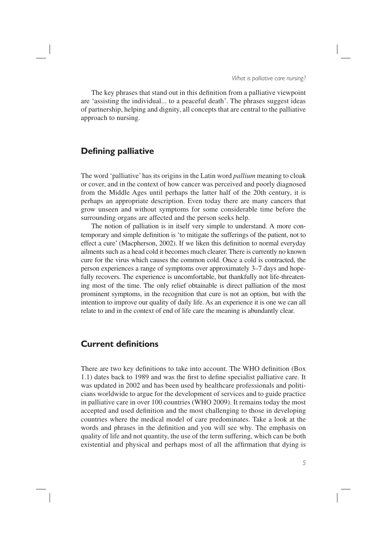The key phrases that stand out in this definition from a palliative viewpoint are 'assisting the individual... to a peaceful death'. The phrases suggest ideas of partnership, helping and dignity, all concepts that are central to the palliative approach to nursing.

### **Defining palliative**

The word 'palliative' has its origins in the Latin word *pallium* meaning to cloak or cover, and in the context of how cancer was perceived and poorly diagnosed from the Middle Ages until perhaps the latter half of the 20th century, it is perhaps an appropriate description. Even today there are many cancers that grow unseen and without symptoms for some considerable time before the surrounding organs are affected and the person seeks help.

The notion of palliation is in itself very simple to understand. A more contemporary and simple definition is 'to mitigate the sufferings of the patient, not to effect a cure' (Macpherson, 2002). If we liken this definition to normal everyday ailments such as a head cold it becomes much clearer. There is currently no known cure for the virus which causes the common cold. Once a cold is contracted, the person experiences a range of symptoms over approximately 3–7 days and hopefully recovers. The experience is uncomfortable, but thankfully not life-threatening most of the time. The only relief obtainable is direct palliation of the most prominent symptoms, in the recognition that cure is not an option, but with the intention to improve our quality of daily life. As an experience it is one we can all relate to and in the context of end of life care the meaning is abundantly clear.

#### **Current definitions**

There are two key definitions to take into account. The WHO definition (Box 1.1) dates back to 1989 and was the first to define specialist palliative care. It was updated in 2002 and has been used by healthcare professionals and politicians worldwide to argue for the development of services and to guide practice in palliative care in over 100 countries (WHO 2009). It remains today the most accepted and used definition and the most challenging to those in developing countries where the medical model of care predominates. Take a look at the words and phrases in the definition and you will see why. The emphasis on quality of life and not quantity, the use of the term suffering, which can be both existential and physical and perhaps most of all the affirmation that dying is